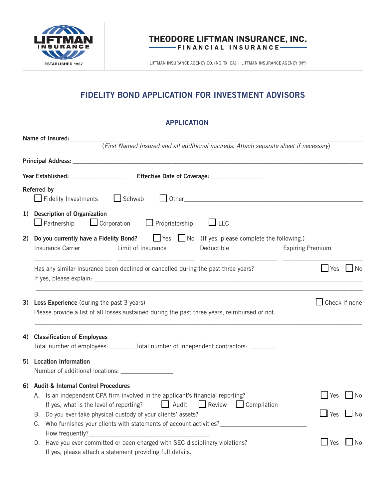

## THEODORE LIFTMAN INSURANCE, INC. FINANCIAL INSURANCE

LIFTMAN INSURANCE AGENCY CO. (NC, TX, CA) | LIFTMAN INSURANCE AGENCY (NY)

# **FIDELITY BOND APPLICATION FOR INVESTMENT ADVISORS**

## **APPLICATION**

|    | Name of Insured:                                                                                                                                                                                                                                                                                                                                                                   |                             |      |
|----|------------------------------------------------------------------------------------------------------------------------------------------------------------------------------------------------------------------------------------------------------------------------------------------------------------------------------------------------------------------------------------|-----------------------------|------|
|    | (First Named Insured and all additional insureds. Attach separate sheet if necessary)                                                                                                                                                                                                                                                                                              |                             |      |
|    |                                                                                                                                                                                                                                                                                                                                                                                    |                             |      |
|    | Year Established: The Effective Date of Coverage: The Effective Date of Coverage:                                                                                                                                                                                                                                                                                                  |                             |      |
|    | <b>Referred by</b><br>$\Box$ Schwab<br>$\Box$ Fidelity Investments                                                                                                                                                                                                                                                                                                                 |                             |      |
|    | 1) Description of Organization<br>$\Box$ Corporation $\Box$ Proprietorship $\Box$ LLC<br>$\Box$ Partnership                                                                                                                                                                                                                                                                        |                             |      |
| 2) | Do you currently have a Fidelity Bond? $\Box$ Yes $\Box$ No (If yes, please complete the following.)<br><b>Expiring Premium</b><br><b>Insurance Carrier</b><br>Limit of Insurance<br>Deductible                                                                                                                                                                                    |                             |      |
|    | Has any similar insurance been declined or cancelled during the past three years?                                                                                                                                                                                                                                                                                                  | $\Box$ Yes $\Box$ No        |      |
| 3) | <b>Loss Experience</b> (during the past 3 years)<br>Please provide a list of all losses sustained during the past three years, reimbursed or not.                                                                                                                                                                                                                                  | $\Box$ Check if none        |      |
| 4) | <b>Classification of Employees</b><br>Total number of employees: ________ Total number of independent contractors: _______                                                                                                                                                                                                                                                         |                             |      |
|    | 5) Location Information                                                                                                                                                                                                                                                                                                                                                            |                             |      |
| 6) | <b>Audit &amp; Internal Control Procedures</b><br>A. Is an independent CPA firm involved in the applicant's financial reporting?<br>Audit<br>Review Compilation<br>If yes, what is the level of reporting?<br>B. Do you ever take physical custody of your clients' assets?<br>C. Who furnishes your clients with statements of account activities? ______________________________ | Yes<br>$\Box$ Yes $\Box$ No | No   |
|    | D. Have you ever committed or been charged with SEC disciplinary violations?<br>If yes, please attach a statement providing full details.                                                                                                                                                                                                                                          | $\Box$ Yes                  | l No |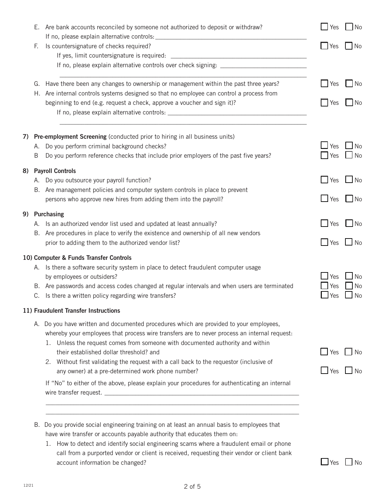|  |                     | E. Are bank accounts reconciled by someone not authorized to deposit or withdraw?                                         | $\blacksquare$ Yes   | l No                                                                                                |
|--|---------------------|---------------------------------------------------------------------------------------------------------------------------|----------------------|-----------------------------------------------------------------------------------------------------|
|  | F.                  | Is countersignature of checks required?                                                                                   | $\Box$ Yes           | $\blacksquare$ $\blacksquare$ $\blacksquare$                                                        |
|  |                     |                                                                                                                           |                      |                                                                                                     |
|  |                     |                                                                                                                           |                      |                                                                                                     |
|  |                     | G. Have there been any changes to ownership or management within the past three years?                                    | Yes                  | <b>No</b>                                                                                           |
|  |                     | H. Are internal controls systems designed so that no employee can control a process from                                  |                      |                                                                                                     |
|  |                     | beginning to end (e.g. request a check, approve a voucher and sign it)?                                                   | <b>Yes</b>           | No.                                                                                                 |
|  |                     |                                                                                                                           |                      |                                                                                                     |
|  |                     | 7) Pre-employment Screening (conducted prior to hiring in all business units)                                             |                      |                                                                                                     |
|  | А.                  | Do you perform criminal background checks?                                                                                | Yes                  | <b>No</b>                                                                                           |
|  | Β                   | Do you perform reference checks that include prior employers of the past five years?                                      | Yes                  | $\Box$ No                                                                                           |
|  | 8) Payroll Controls |                                                                                                                           |                      |                                                                                                     |
|  |                     | A. Do you outsource your payroll function?<br>B. Are management policies and computer system controls in place to prevent | Yes                  | $\Box$ No                                                                                           |
|  |                     | persons who approve new hires from adding them into the payroll?                                                          | $\Box$ Yes $\Box$ No |                                                                                                     |
|  |                     | 9) Purchasing                                                                                                             |                      |                                                                                                     |
|  |                     | A. Is an authorized vendor list used and updated at least annually?                                                       | <b>Yes</b>           | $\overline{\phantom{a}}$ $\overline{\phantom{a}}$ $\overline{\phantom{a}}$ $\overline{\phantom{a}}$ |
|  |                     | B. Are procedures in place to verify the existence and ownership of all new vendors                                       |                      |                                                                                                     |
|  |                     | prior to adding them to the authorized vendor list?                                                                       | $\Box$ Yes           | $\Box$ No                                                                                           |
|  |                     | 10) Computer & Funds Transfer Controls                                                                                    |                      |                                                                                                     |
|  |                     | A. Is there a software security system in place to detect fraudulent computer usage                                       |                      |                                                                                                     |
|  |                     | by employees or outsiders?                                                                                                | Yes                  | <b>No</b>                                                                                           |
|  |                     | B. Are passwords and access codes changed at regular intervals and when users are terminated                              | Yes                  | No                                                                                                  |
|  |                     | C. Is there a written policy regarding wire transfers?                                                                    | Yes                  | No                                                                                                  |
|  |                     | 11) Fraudulent Transfer Instructions                                                                                      |                      |                                                                                                     |
|  |                     | A. Do you have written and documented procedures which are provided to your employees,                                    |                      |                                                                                                     |
|  |                     | whereby your employees that process wire transfers are to never process an internal request:                              |                      |                                                                                                     |
|  |                     | 1. Unless the request comes from someone with documented authority and within<br>their established dollar threshold? and  | $\Box$ Yes           |                                                                                                     |
|  |                     | 2. Without first validating the request with a call back to the requestor (inclusive of                                   |                      | $\blacksquare$ No                                                                                   |
|  |                     | any owner) at a pre-determined work phone number?                                                                         | $\Box$ Yes $\Box$ No |                                                                                                     |
|  |                     | If "No" to either of the above, please explain your procedures for authenticating an internal                             |                      |                                                                                                     |
|  |                     |                                                                                                                           |                      |                                                                                                     |
|  |                     |                                                                                                                           |                      |                                                                                                     |
|  |                     | B. Do you provide social engineering training on at least an annual basis to employees that                               |                      |                                                                                                     |
|  |                     | have wire transfer or accounts payable authority that educates them on:                                                   |                      |                                                                                                     |
|  |                     | 1. How to detect and identify social engineering scams where a fraudulent email or phone                                  |                      |                                                                                                     |
|  |                     | call from a purported vendor or client is received, requesting their vendor or client bank                                |                      |                                                                                                     |
|  |                     | account information be changed?                                                                                           | $\Box$ Yes           | No                                                                                                  |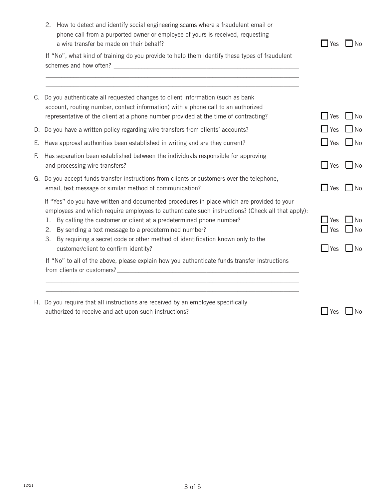|    | How to detect and identify social engineering scams where a fraudulent email or<br>2.<br>phone call from a purported owner or employee of yours is received, requesting<br>a wire transfer be made on their behalf?                                                                                                                                                                                                                                                      | l Yes                                | $\blacksquare$ No                                   |
|----|--------------------------------------------------------------------------------------------------------------------------------------------------------------------------------------------------------------------------------------------------------------------------------------------------------------------------------------------------------------------------------------------------------------------------------------------------------------------------|--------------------------------------|-----------------------------------------------------|
|    | If "No", what kind of training do you provide to help them identify these types of fraudulent                                                                                                                                                                                                                                                                                                                                                                            |                                      |                                                     |
| C. | Do you authenticate all requested changes to client information (such as bank<br>account, routing number, contact information) with a phone call to an authorized<br>representative of the client at a phone number provided at the time of contracting?                                                                                                                                                                                                                 | $\mathsf{I}$ Yes                     | N <sub>0</sub>                                      |
|    | D. Do you have a written policy regarding wire transfers from clients' accounts?                                                                                                                                                                                                                                                                                                                                                                                         | $\Box$ Yes                           | No                                                  |
| Е. | Have approval authorities been established in writing and are they current?                                                                                                                                                                                                                                                                                                                                                                                              | $\Box$ Yes                           | $\blacksquare$ No                                   |
| E. | Has separation been established between the individuals responsible for approving<br>and processing wire transfers?                                                                                                                                                                                                                                                                                                                                                      | $\Box$ Yes                           | $\blacksquare$ No                                   |
|    | G. Do you accept funds transfer instructions from clients or customers over the telephone,<br>email, text message or similar method of communication?                                                                                                                                                                                                                                                                                                                    | $\blacksquare$ Yes                   | $\blacksquare$ No                                   |
|    | If "Yes" do you have written and documented procedures in place which are provided to your<br>employees and which require employees to authenticate such instructions? (Check all that apply):<br>By calling the customer or client at a predetermined phone number?<br>1.<br>By sending a text message to a predetermined number?<br>2.<br>By requiring a secret code or other method of identification known only to the<br>3.<br>customer/client to confirm identity? | $\blacksquare$ Yes<br>Yes<br>$ $ Yes | $\blacksquare$ No<br>$\Box$ No<br>$\blacksquare$ No |
|    | If "No" to all of the above, please explain how you authenticate funds transfer instructions                                                                                                                                                                                                                                                                                                                                                                             |                                      |                                                     |
| H. | Do you require that all instructions are received by an employee specifically<br>authorized to receive and act upon such instructions?                                                                                                                                                                                                                                                                                                                                   | <b>Yes</b>                           | No                                                  |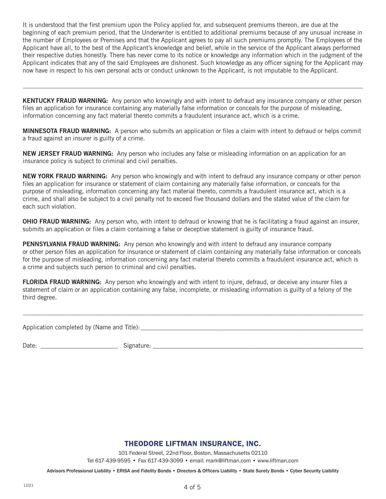It is understood that the first premium upon the Policy applied for, and subsequent premiums thereon, are due at the beginning of each premium period, that the Underwriter is entitled to additional premiums because of any unusual increase in the number of Employees or Premises and that the Applicant agrees to pay all such premiums promptly. The Employees of the Applicant have all, to the best of the Applicant's knowledge and belief, while in the service of the Applicant always performed their respective duties honestly. There has never come to its notice or knowledge any information which in the judgment of the Applicant indicates that any of the said Employees are dishonest. Such knowledge as any officer signing for the Applicant may now have in respect to his own personal acts or conduct unknown to the Applicant, is not imputable to the Applicant.

**KENTUCKY FRAUD WARNING:** Any person who knowingly and with intent to defraud any insurance company or other person files an application for insurance containing any materially false information or conceals for the purpose of misleading, information concerning any fact material thereto commits a fraudulent insurance act, which is a crime.

 $\_$  , and the set of the set of the set of the set of the set of the set of the set of the set of the set of the set of the set of the set of the set of the set of the set of the set of the set of the set of the set of th

**MINNESOTA FRAUD WARNING:** A person who submits an application or files a claim with intent to defraud or helps commit a fraud against an insurer is guilty of a crime.

**NEW JERSEY FRAUD WARNING:** Any person who includes any false or misleading information on an application for an insurance policy is subject to criminal and civil penalties.

**NEW YORK FRAUD WARNING:** Any person who knowingly and with intent to defraud any insurance company or other person files an application for insurance or statement of claim containing any materially false information, or conceals for the purpose of misleading, information concerning any fact material thereto, commits a fraudulent insurance act, which is a crime, and shall also be subject to a civil penalty not to exceed five thousand dollars and the stated value of the claim for each such violation.

**OHIO FRAUD WARNING:** Any person who, with intent to defraud or knowing that he is facilitating a fraud against an insurer, submits an application or files a claim containing a false or deceptive statement is guilty of insurance fraud.

**PENNSYLVANIA FRAUD WARNING:** Any person who knowingly and with intent to defraud any insurance company or other person files an application for insurance or statement of claim containing any materially false information or conceals for the purpose of misleading, information concerning any fact material thereto commits a fraudulent insurance act, which is a crime and subjects such person to criminal and civil penalties.

**FLORIDA FRAUD WARNING:** Any person who knowingly and with intent to injure, defraud, or deceive any insurer files a statement of claim or an application containing any false, incomplete, or misleading information is guilty of a felony of the third degree.

 $\_$  , and the set of the set of the set of the set of the set of the set of the set of the set of the set of the set of the set of the set of the set of the set of the set of the set of the set of the set of the set of th

Application completed by (Name and Title):\_\_\_\_\_\_\_\_\_\_\_\_\_\_\_\_\_\_\_\_\_\_\_\_\_\_\_\_\_\_\_\_\_\_\_\_\_\_\_\_\_\_\_\_\_\_\_\_\_\_\_\_\_\_\_\_\_\_\_\_\_\_\_\_\_\_\_\_\_\_\_\_

Date: \_\_\_\_\_\_\_\_\_\_\_\_\_\_\_\_\_\_\_\_\_\_\_\_\_ Signature: \_\_\_\_\_\_\_\_\_\_\_\_\_\_\_\_\_\_\_\_\_\_\_\_\_\_\_\_\_\_\_\_\_\_\_\_\_\_\_\_\_\_\_\_\_\_\_\_\_\_\_\_\_\_\_\_\_\_\_\_\_\_\_\_\_\_\_\_

## THEODORE LIFTMAN INSURANCE, INC.

101 Federal Street, 22nd Floor, Boston, Massachusetts 02110

Tel 617-439-9595 • Fax 617-439-3099 • email: mark@liftman.com • www.liftman.com

Advisors Professional Liability • ERISA and Fidelity Bonds • Directors & Officers Liability • State Surety Bonds • Cyber Security Liability